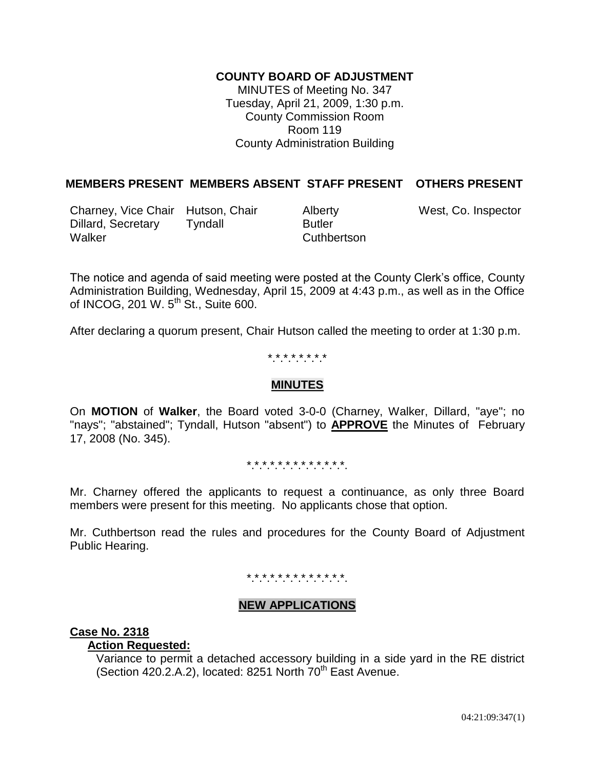# **COUNTY BOARD OF ADJUSTMENT**

MINUTES of Meeting No. 347 Tuesday, April 21, 2009, 1:30 p.m. County Commission Room Room 119 County Administration Building

# **MEMBERS PRESENT MEMBERS ABSENT STAFF PRESENT OTHERS PRESENT**

Charney, Vice Chair Hutson, Chair Alberty West, Co. Inspector Dillard, Secretary Tyndall Butler Walker Cuthbertson

The notice and agenda of said meeting were posted at the County Clerk's office, County Administration Building, Wednesday, April 15, 2009 at 4:43 p.m., as well as in the Office of INCOG, 201 W.  $5<sup>th</sup>$  St., Suite 600.

After declaring a quorum present, Chair Hutson called the meeting to order at 1:30 p.m.

### \*.\*.\*.\*.\*.\*.\*.\*

### **MINUTES**

On **MOTION** of **Walker**, the Board voted 3-0-0 (Charney, Walker, Dillard, "aye"; no "nays"; "abstained"; Tyndall, Hutson "absent") to **APPROVE** the Minutes of February 17, 2008 (No. 345).

\*.\*.\*.\*.\*.\*.\*.\*.\*.\*.\*.\*.\*.

Mr. Charney offered the applicants to request a continuance, as only three Board members were present for this meeting. No applicants chose that option.

Mr. Cuthbertson read the rules and procedures for the County Board of Adjustment Public Hearing.

# \*\*\*\*\*\*\*\*\*\*\*\*\*

### **NEW APPLICATIONS**

# **Case No. 2318**

# **Action Requested:**

Variance to permit a detached accessory building in a side yard in the RE district (Section 420.2.A.2), located: 8251 North  $70<sup>th</sup>$  East Avenue.

04:21:09:347(1)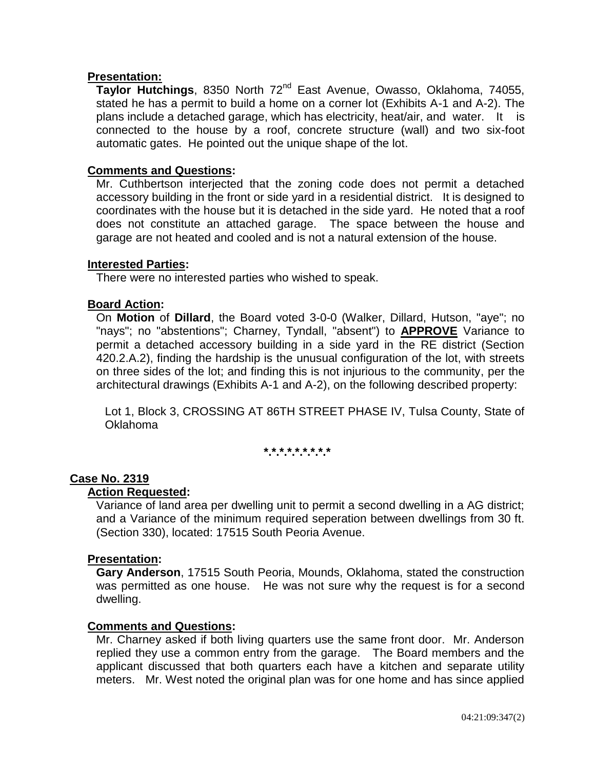# **Presentation:**

**Taylor Hutchings**, 8350 North 72nd East Avenue, Owasso, Oklahoma, 74055, stated he has a permit to build a home on a corner lot (Exhibits A-1 and A-2). The plans include a detached garage, which has electricity, heat/air, and water. It is connected to the house by a roof, concrete structure (wall) and two six-foot automatic gates. He pointed out the unique shape of the lot.

# **Comments and Questions:**

Mr. Cuthbertson interjected that the zoning code does not permit a detached accessory building in the front or side yard in a residential district. It is designed to coordinates with the house but it is detached in the side yard. He noted that a roof does not constitute an attached garage. The space between the house and garage are not heated and cooled and is not a natural extension of the house.

### **Interested Parties:**

There were no interested parties who wished to speak.

### **Board Action:**

On **Motion** of **Dillard**, the Board voted 3-0-0 (Walker, Dillard, Hutson, "aye"; no "nays"; no "abstentions"; Charney, Tyndall, "absent") to **APPROVE** Variance to permit a detached accessory building in a side yard in the RE district (Section 420.2.A.2), finding the hardship is the unusual configuration of the lot, with streets on three sides of the lot; and finding this is not injurious to the community, per the architectural drawings (Exhibits A-1 and A-2), on the following described property:

Lot 1, Block 3, CROSSING AT 86TH STREET PHASE IV, Tulsa County, State of Oklahoma

**\*.\*.\*.\*.\*.\*.\*.\*.\***

# **Case No. 2319**

#### **Action Requested:**

Variance of land area per dwelling unit to permit a second dwelling in a AG district; and a Variance of the minimum required seperation between dwellings from 30 ft. (Section 330), located: 17515 South Peoria Avenue.

#### **Presentation:**

**Gary Anderson**, 17515 South Peoria, Mounds, Oklahoma, stated the construction was permitted as one house. He was not sure why the request is for a second dwelling.

#### **Comments and Questions:**

Mr. Charney asked if both living quarters use the same front door. Mr. Anderson replied they use a common entry from the garage. The Board members and the applicant discussed that both quarters each have a kitchen and separate utility meters. Mr. West noted the original plan was for one home and has since applied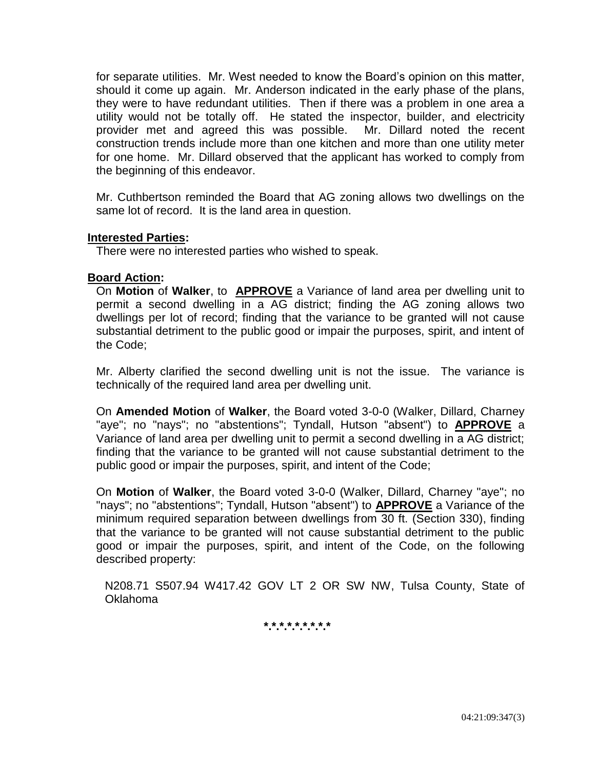for separate utilities. Mr. West needed to know the Board's opinion on this matter, should it come up again. Mr. Anderson indicated in the early phase of the plans, they were to have redundant utilities. Then if there was a problem in one area a utility would not be totally off. He stated the inspector, builder, and electricity provider met and agreed this was possible. Mr. Dillard noted the recent construction trends include more than one kitchen and more than one utility meter for one home. Mr. Dillard observed that the applicant has worked to comply from the beginning of this endeavor.

Mr. Cuthbertson reminded the Board that AG zoning allows two dwellings on the same lot of record. It is the land area in question.

### **Interested Parties:**

There were no interested parties who wished to speak.

### **Board Action:**

On **Motion** of **Walker**, to **APPROVE** a Variance of land area per dwelling unit to permit a second dwelling in a AG district; finding the AG zoning allows two dwellings per lot of record; finding that the variance to be granted will not cause substantial detriment to the public good or impair the purposes, spirit, and intent of the Code;

Mr. Alberty clarified the second dwelling unit is not the issue. The variance is technically of the required land area per dwelling unit.

On **Amended Motion** of **Walker**, the Board voted 3-0-0 (Walker, Dillard, Charney "aye"; no "nays"; no "abstentions"; Tyndall, Hutson "absent") to **APPROVE** a Variance of land area per dwelling unit to permit a second dwelling in a AG district; finding that the variance to be granted will not cause substantial detriment to the public good or impair the purposes, spirit, and intent of the Code;

On **Motion** of **Walker**, the Board voted 3-0-0 (Walker, Dillard, Charney "aye"; no "nays"; no "abstentions"; Tyndall, Hutson "absent") to **APPROVE** a Variance of the minimum required separation between dwellings from 30 ft. (Section 330), finding that the variance to be granted will not cause substantial detriment to the public good or impair the purposes, spirit, and intent of the Code, on the following described property:

N208.71 S507.94 W417.42 GOV LT 2 OR SW NW, Tulsa County, State of Oklahoma

# **\*.\*.\*.\*.\*.\*.\*.\*.\***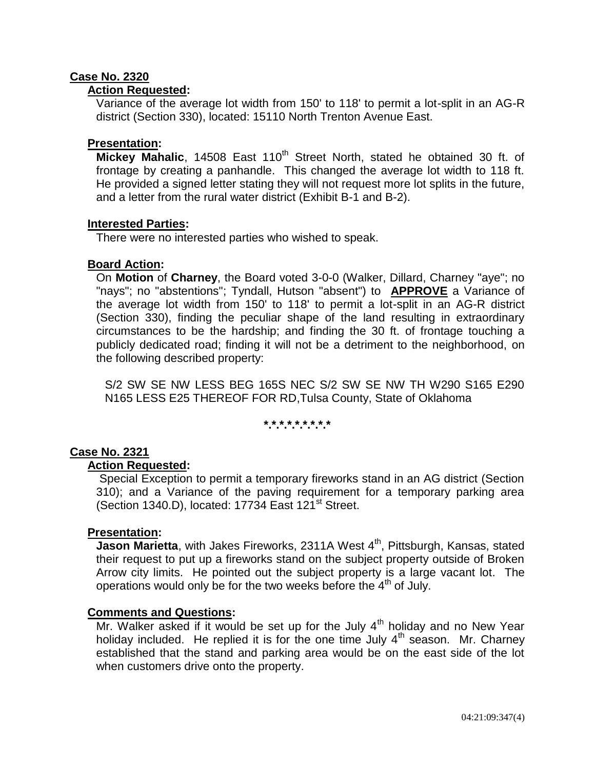# **Case No. 2320**

### **Action Requested:**

Variance of the average lot width from 150' to 118' to permit a lot-split in an AG-R district (Section 330), located: 15110 North Trenton Avenue East.

### **Presentation:**

**Mickey Mahalic**, 14508 East 110<sup>th</sup> Street North, stated he obtained 30 ft. of frontage by creating a panhandle. This changed the average lot width to 118 ft. He provided a signed letter stating they will not request more lot splits in the future, and a letter from the rural water district (Exhibit B-1 and B-2).

### **Interested Parties:**

There were no interested parties who wished to speak.

### **Board Action:**

On **Motion** of **Charney**, the Board voted 3-0-0 (Walker, Dillard, Charney "aye"; no "nays"; no "abstentions"; Tyndall, Hutson "absent") to **APPROVE** a Variance of the average lot width from 150' to 118' to permit a lot-split in an AG-R district (Section 330), finding the peculiar shape of the land resulting in extraordinary circumstances to be the hardship; and finding the 30 ft. of frontage touching a publicly dedicated road; finding it will not be a detriment to the neighborhood, on the following described property:

S/2 SW SE NW LESS BEG 165S NEC S/2 SW SE NW TH W290 S165 E290 N165 LESS E25 THEREOF FOR RD,Tulsa County, State of Oklahoma

# **\*.\*.\*.\*.\*.\*.\*.\*.\***

# **Case No. 2321**

### **Action Requested:**

Special Exception to permit a temporary fireworks stand in an AG district (Section 310); and a Variance of the paving requirement for a temporary parking area (Section 1340.D), located: 17734 East 121<sup>st</sup> Street.

### **Presentation:**

**Jason Marietta**, with Jakes Fireworks, 2311A West 4<sup>th</sup>, Pittsburgh, Kansas, stated their request to put up a fireworks stand on the subject property outside of Broken Arrow city limits. He pointed out the subject property is a large vacant lot. The operations would only be for the two weeks before the  $4<sup>th</sup>$  of July.

#### **Comments and Questions:**

Mr. Walker asked if it would be set up for the July  $4<sup>th</sup>$  holiday and no New Year holiday included. He replied it is for the one time July  $4<sup>th</sup>$  season. Mr. Charney established that the stand and parking area would be on the east side of the lot when customers drive onto the property.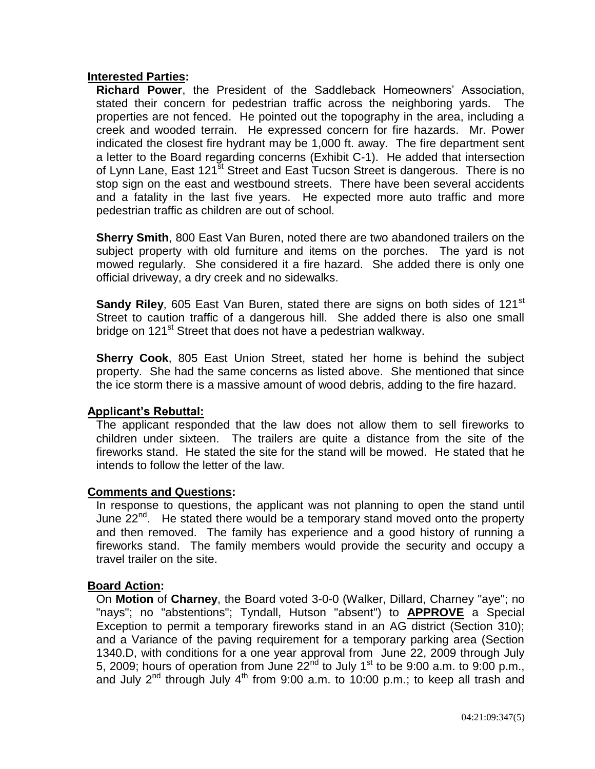# **Interested Parties:**

**Richard Power**, the President of the Saddleback Homeowners' Association, stated their concern for pedestrian traffic across the neighboring yards. The properties are not fenced. He pointed out the topography in the area, including a creek and wooded terrain. He expressed concern for fire hazards. Mr. Power indicated the closest fire hydrant may be 1,000 ft. away. The fire department sent a letter to the Board regarding concerns (Exhibit C-1). He added that intersection of Lynn Lane, East 121<sup>st</sup> Street and East Tucson Street is dangerous. There is no stop sign on the east and westbound streets. There have been several accidents and a fatality in the last five years. He expected more auto traffic and more pedestrian traffic as children are out of school.

**Sherry Smith**, 800 East Van Buren, noted there are two abandoned trailers on the subject property with old furniture and items on the porches. The yard is not mowed regularly. She considered it a fire hazard. She added there is only one official driveway, a dry creek and no sidewalks.

**Sandy Riley**, 605 East Van Buren, stated there are signs on both sides of 121<sup>st</sup> Street to caution traffic of a dangerous hill. She added there is also one small bridge on 121<sup>st</sup> Street that does not have a pedestrian walkway.

**Sherry Cook**, 805 East Union Street, stated her home is behind the subject property. She had the same concerns as listed above. She mentioned that since the ice storm there is a massive amount of wood debris, adding to the fire hazard.

# **Applicant's Rebuttal:**

The applicant responded that the law does not allow them to sell fireworks to children under sixteen. The trailers are quite a distance from the site of the fireworks stand. He stated the site for the stand will be mowed. He stated that he intends to follow the letter of the law.

### **Comments and Questions:**

In response to questions, the applicant was not planning to open the stand until June  $22^{nd}$ . He stated there would be a temporary stand moved onto the property and then removed. The family has experience and a good history of running a fireworks stand. The family members would provide the security and occupy a travel trailer on the site.

### **Board Action:**

On **Motion** of **Charney**, the Board voted 3-0-0 (Walker, Dillard, Charney "aye"; no "nays"; no "abstentions"; Tyndall, Hutson "absent") to **APPROVE** a Special Exception to permit a temporary fireworks stand in an AG district (Section 310); and a Variance of the paving requirement for a temporary parking area (Section 1340.D, with conditions for a one year approval from June 22, 2009 through July 5, 2009; hours of operation from June  $22^{nd}$  to July 1<sup>st</sup> to be 9:00 a.m. to 9:00 p.m., and July  $2^{nd}$  through July  $4^{th}$  from 9:00 a.m. to 10:00 p.m.; to keep all trash and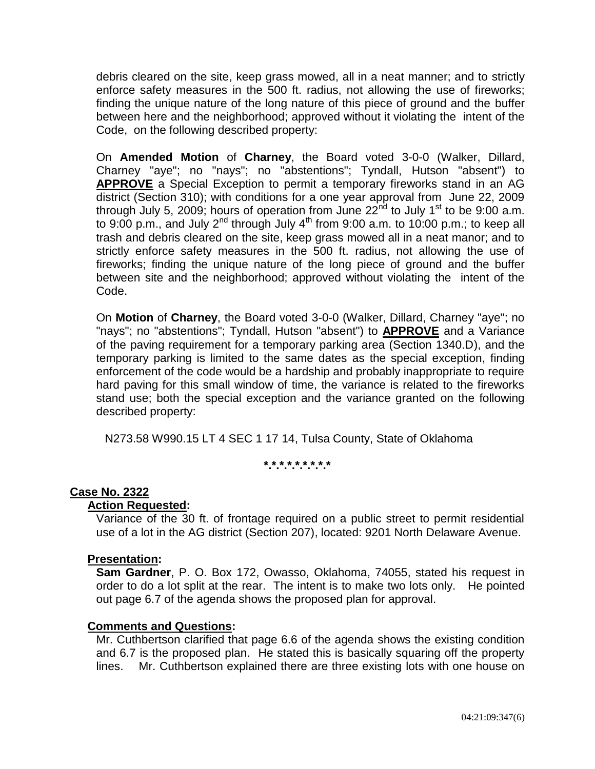debris cleared on the site, keep grass mowed, all in a neat manner; and to strictly enforce safety measures in the 500 ft. radius, not allowing the use of fireworks; finding the unique nature of the long nature of this piece of ground and the buffer between here and the neighborhood; approved without it violating the intent of the Code, on the following described property:

On **Amended Motion** of **Charney**, the Board voted 3-0-0 (Walker, Dillard, Charney "aye"; no "nays"; no "abstentions"; Tyndall, Hutson "absent") to **APPROVE** a Special Exception to permit a temporary fireworks stand in an AG district (Section 310); with conditions for a one year approval from June 22, 2009 through July 5, 2009; hours of operation from June  $22<sup>nd</sup>$  to July 1<sup>st</sup> to be 9:00 a.m. to 9:00 p.m., and July  $2^{nd}$  through July  $4^{th}$  from 9:00 a.m. to 10:00 p.m.; to keep all trash and debris cleared on the site, keep grass mowed all in a neat manor; and to strictly enforce safety measures in the 500 ft. radius, not allowing the use of fireworks; finding the unique nature of the long piece of ground and the buffer between site and the neighborhood; approved without violating the intent of the Code.

On **Motion** of **Charney**, the Board voted 3-0-0 (Walker, Dillard, Charney "aye"; no "nays"; no "abstentions"; Tyndall, Hutson "absent") to **APPROVE** and a Variance of the paving requirement for a temporary parking area (Section 1340.D), and the temporary parking is limited to the same dates as the special exception, finding enforcement of the code would be a hardship and probably inappropriate to require hard paving for this small window of time, the variance is related to the fireworks stand use; both the special exception and the variance granted on the following described property:

N273.58 W990.15 LT 4 SEC 1 17 14, Tulsa County, State of Oklahoma

**\*.\*.\*.\*.\*.\*.\*.\*.\***

# **Case No. 2322**

### **Action Requested:**

Variance of the 30 ft. of frontage required on a public street to permit residential use of a lot in the AG district (Section 207), located: 9201 North Delaware Avenue.

### **Presentation:**

**Sam Gardner**, P. O. Box 172, Owasso, Oklahoma, 74055, stated his request in order to do a lot split at the rear. The intent is to make two lots only. He pointed out page 6.7 of the agenda shows the proposed plan for approval.

### **Comments and Questions:**

Mr. Cuthbertson clarified that page 6.6 of the agenda shows the existing condition and 6.7 is the proposed plan. He stated this is basically squaring off the property lines. Mr. Cuthbertson explained there are three existing lots with one house on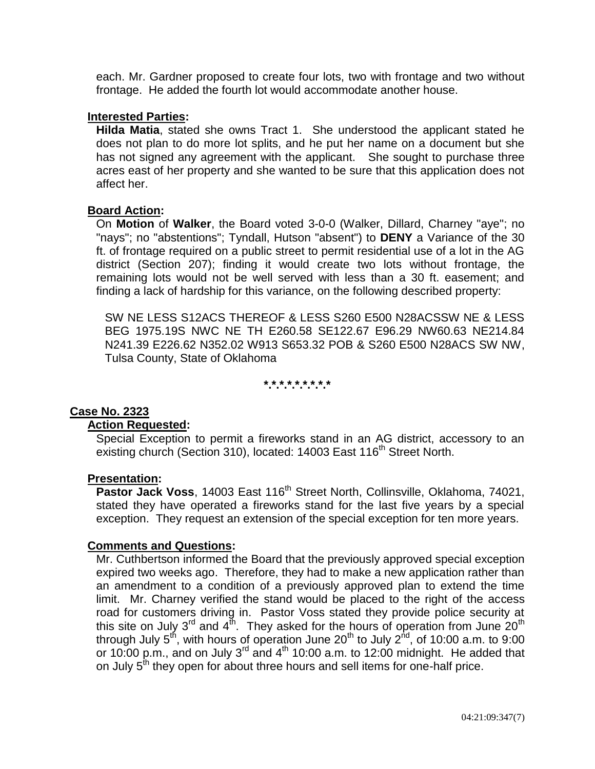each. Mr. Gardner proposed to create four lots, two with frontage and two without frontage. He added the fourth lot would accommodate another house.

### **Interested Parties:**

**Hilda Matia**, stated she owns Tract 1. She understood the applicant stated he does not plan to do more lot splits, and he put her name on a document but she has not signed any agreement with the applicant. She sought to purchase three acres east of her property and she wanted to be sure that this application does not affect her.

### **Board Action:**

On **Motion** of **Walker**, the Board voted 3-0-0 (Walker, Dillard, Charney "aye"; no "nays"; no "abstentions"; Tyndall, Hutson "absent") to **DENY** a Variance of the 30 ft. of frontage required on a public street to permit residential use of a lot in the AG district (Section 207); finding it would create two lots without frontage, the remaining lots would not be well served with less than a 30 ft. easement; and finding a lack of hardship for this variance, on the following described property:

SW NE LESS S12ACS THEREOF & LESS S260 E500 N28ACSSW NE & LESS BEG 1975.19S NWC NE TH E260.58 SE122.67 E96.29 NW60.63 NE214.84 N241.39 E226.62 N352.02 W913 S653.32 POB & S260 E500 N28ACS SW NW, Tulsa County, State of Oklahoma

**\*.\*.\*.\*.\*.\*.\*.\*.\***

# **Case No. 2323**

### **Action Requested:**

Special Exception to permit a fireworks stand in an AG district, accessory to an existing church (Section 310), located: 14003 East 116<sup>th</sup> Street North.

#### **Presentation:**

Pastor Jack Voss, 14003 East 116<sup>th</sup> Street North, Collinsville, Oklahoma, 74021, stated they have operated a fireworks stand for the last five years by a special exception. They request an extension of the special exception for ten more years.

### **Comments and Questions:**

Mr. Cuthbertson informed the Board that the previously approved special exception expired two weeks ago. Therefore, they had to make a new application rather than an amendment to a condition of a previously approved plan to extend the time limit. Mr. Charney verified the stand would be placed to the right of the access road for customers driving in. Pastor Voss stated they provide police security at this site on July 3<sup>rd</sup> and  $4^{\text{th}}$ . They asked for the hours of operation from June 20<sup>th</sup> through July 5<sup>th</sup>, with hours of operation June 20<sup>th</sup> to July 2<sup>nd</sup>, of 10:00 a.m. to 9:00 or 10:00 p.m., and on July 3<sup>rd</sup> and 4<sup>th</sup> 10:00 a.m. to 12:00 midnight. He added that on July  $5<sup>th</sup>$  they open for about three hours and sell items for one-half price.